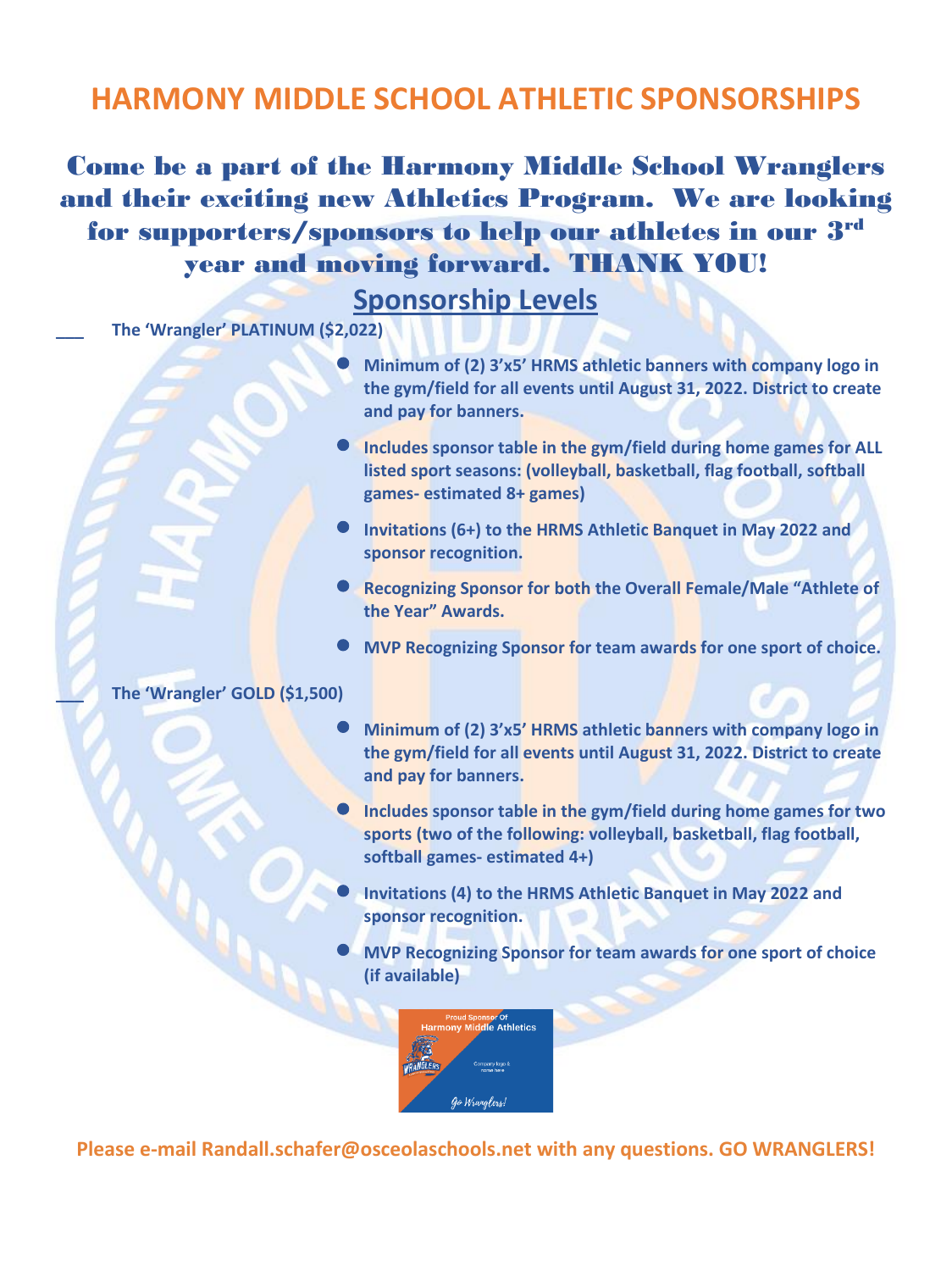## **HARMONY MIDDLE SCHOOL ATHLETIC SPONSORSHIPS**

Come be a part of the Harmony Middle School Wranglers and their exciting new Athletics Program. We are looking for supporters/sponsors to help our athletes in our 3 rd year and moving forward. THANK YOU!

## **Sponsorship Levels**

**\_\_\_ The 'Wrangler' PLATINUM (\$2,022)**

- **Minimum of (2) 3'x5' HRMS athletic banner<sup>s</sup> with company logo in the gym/field for all events until August 31, 2022. District to create and pay for banners.**
- **Includes sponsor table in the gym/field during home games for ALL listed sport seasons: (volleyball, basketball, flag football, softball games- estimated 8+ games)**
- **Invitations (6+) to the HRMS Athletic Banquet in May 2022 and sponsor recognition.**
- **Recognizing Sponsor for both the Overall Female/Male "Athlete of the Year" Awards.**
- **MVP Recognizing Sponsor for team awards for one sport of choice.**

## **\_\_\_ The 'Wrangler' GOLD (\$1,500)**

- **Minimum of (2) 3'x5' HRMS athletic banner<sup>s</sup> with company logo in the gym/field for all events until August 31, 2022. District to create and pay for banners.**
- **Includes sponsor table in the gym/field during home games for two sports (two of the following: volleyball, basketball, flag football, softball games- estimated 4+)**
- **Invitations (4) to the HRMS Athletic Banquet in May 2022 and sponsor recognition.**
- **MVP Recognizing Sponsor for team awards for one sport of choice (if available)**



**Please e-mail Randall.schafer@osceolaschools.net with any questions. GO WRANGLERS!**